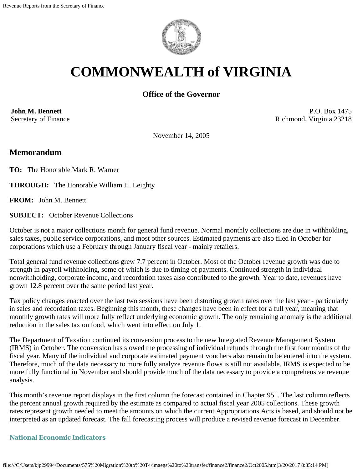

# **COMMONWEALTH of VIRGINIA**

# **Office of the Governor**

**John M. Bennett** Secretary of Finance

P.O. Box 1475 Richmond, Virginia 23218

November 14, 2005

## **Memorandum**

**TO:** The Honorable Mark R. Warner

**THROUGH:** The Honorable William H. Leighty

**FROM:** John M. Bennett

**SUBJECT:** October Revenue Collections

October is not a major collections month for general fund revenue. Normal monthly collections are due in withholding, sales taxes, public service corporations, and most other sources. Estimated payments are also filed in October for corporations which use a February through January fiscal year - mainly retailers.

Total general fund revenue collections grew 7.7 percent in October. Most of the October revenue growth was due to strength in payroll withholding, some of which is due to timing of payments. Continued strength in individual nonwithholding, corporate income, and recordation taxes also contributed to the growth. Year to date, revenues have grown 12.8 percent over the same period last year.

Tax policy changes enacted over the last two sessions have been distorting growth rates over the last year - particularly in sales and recordation taxes. Beginning this month, these changes have been in effect for a full year, meaning that monthly growth rates will more fully reflect underlying economic growth. The only remaining anomaly is the additional reduction in the sales tax on food, which went into effect on July 1.

The Department of Taxation continued its conversion process to the new Integrated Revenue Management System (IRMS) in October. The conversion has slowed the processing of individual refunds through the first four months of the fiscal year. Many of the individual and corporate estimated payment vouchers also remain to be entered into the system. Therefore, much of the data necessary to more fully analyze revenue flows is still not available. IRMS is expected to be more fully functional in November and should provide much of the data necessary to provide a comprehensive revenue analysis.

This month's revenue report displays in the first column the forecast contained in Chapter 951. The last column reflects the percent annual growth required by the estimate as compared to actual fiscal year 2005 collections. These growth rates represent growth needed to meet the amounts on which the current Appropriations Acts is based, and should not be interpreted as an updated forecast. The fall forecasting process will produce a revised revenue forecast in December.

#### **National Economic Indicators**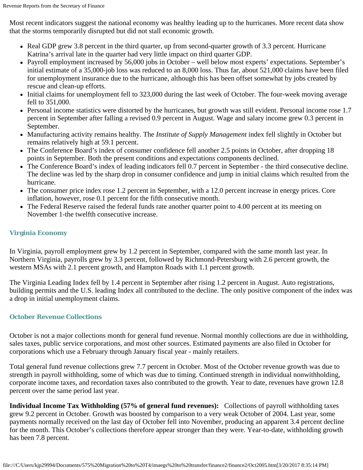Most recent indicators suggest the national economy was healthy leading up to the hurricanes. More recent data show that the storms temporarily disrupted but did not stall economic growth.

- Real GDP grew 3.8 percent in the third quarter, up from second-quarter growth of 3.3 percent. Hurricane Katrina's arrival late in the quarter had very little impact on third quarter GDP.
- Payroll employment increased by 56,000 jobs in October well below most experts' expectations. September's initial estimate of a 35,000-job loss was reduced to an 8,000 loss. Thus far, about 521,000 claims have been filed for unemployment insurance due to the hurricane, although this has been offset somewhat by jobs created by rescue and clean-up efforts.
- Initial claims for unemployment fell to 323,000 during the last week of October. The four-week moving average fell to 351,000.
- Personal income statistics were distorted by the hurricanes, but growth was still evident. Personal income rose 1.7 percent in September after falling a revised 0.9 percent in August. Wage and salary income grew 0.3 percent in September.
- Manufacturing activity remains healthy. The *Institute of Supply Management* index fell slightly in October but remains relatively high at 59.1 percent.
- The Conference Board's index of consumer confidence fell another 2.5 points in October, after dropping 18 points in September. Both the present conditions and expectations components declined.
- The Conference Board's index of leading indicators fell 0.7 percent in September the third consecutive decline. The decline was led by the sharp drop in consumer confidence and jump in initial claims which resulted from the hurricane.
- The consumer price index rose 1.2 percent in September, with a 12.0 percent increase in energy prices. Core inflation, however, rose 0.1 percent for the fifth consecutive month.
- The Federal Reserve raised the federal funds rate another quarter point to 4.00 percent at its meeting on November 1-the twelfth consecutive increase.

### **Virginia Economy**

In Virginia, payroll employment grew by 1.2 percent in September, compared with the same month last year. In Northern Virginia, payrolls grew by 3.3 percent, followed by Richmond-Petersburg with 2.6 percent growth, the western MSAs with 2.1 percent growth, and Hampton Roads with 1.1 percent growth.

The Virginia Leading Index fell by 1.4 percent in September after rising 1.2 percent in August. Auto registrations, building permits and the U.S. leading Index all contributed to the decline. The only positive component of the index was a drop in initial unemployment claims.

#### **October Revenue Collections**

October is not a major collections month for general fund revenue. Normal monthly collections are due in withholding, sales taxes, public service corporations, and most other sources. Estimated payments are also filed in October for corporations which use a February through January fiscal year - mainly retailers.

Total general fund revenue collections grew 7.7 percent in October. Most of the October revenue growth was due to strength in payroll withholding, some of which was due to timing. Continued strength in individual nonwithholding, corporate income taxes, and recordation taxes also contributed to the growth. Year to date, revenues have grown 12.8 percent over the same period last year.

**Individual Income Tax Withholding (57% of general fund revenues):** Collections of payroll withholding taxes grew 9.2 percent in October. Growth was boosted by comparison to a very weak October of 2004. Last year, some payments normally received on the last day of October fell into November, producing an apparent 3.4 percent decline for the month. This October's collections therefore appear stronger than they were. Year-to-date, withholding growth has been 7.8 percent.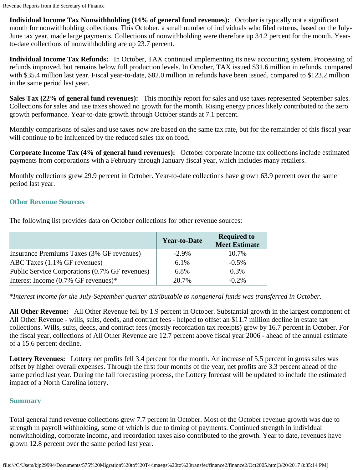**Individual Income Tax Nonwithholding (14% of general fund revenues):** October is typically not a significant month for nonwithholding collections. This October, a small number of individuals who filed returns, based on the July-June tax year, made large payments. Collections of nonwithholding were therefore up 34.2 percent for the month. Yearto-date collections of nonwithholding are up 23.7 percent.

**Individual Income Tax Refunds:** In October, TAX continued implementing its new accounting system. Processing of refunds improved, but remains below full production levels. In October, TAX issued \$31.6 million in refunds, compared with \$35.4 million last year. Fiscal year-to-date, \$82.0 million in refunds have been issued, compared to \$123.2 million in the same period last year.

**Sales Tax (22% of general fund revenues):** This monthly report for sales and use taxes represented September sales. Collections for sales and use taxes showed no growth for the month. Rising energy prices likely contributed to the zero growth performance. Year-to-date growth through October stands at 7.1 percent.

Monthly comparisons of sales and use taxes now are based on the same tax rate, but for the remainder of this fiscal year will continue to be influenced by the reduced sales tax on food.

**Corporate Income Tax (4% of general fund revenues):** October corporate income tax collections include estimated payments from corporations with a February through January fiscal year, which includes many retailers.

Monthly collections grew 29.9 percent in October. Year-to-date collections have grown 63.9 percent over the same period last year.

#### **Other Revenue Sources**

The following list provides data on October collections for other revenue sources:

|                                                | <b>Year-to-Date</b> | <b>Required to</b><br><b>Meet Estimate</b> |
|------------------------------------------------|---------------------|--------------------------------------------|
| Insurance Premiums Taxes (3% GF revenues)      | $-2.9\%$            | 10.7%                                      |
| ABC Taxes (1.1% GF revenues)                   | 6.1%                | $-0.5\%$                                   |
| Public Service Corporations (0.7% GF revenues) | 6.8%                | $0.3\%$                                    |
| Interest Income $(0.7\%$ GF revenues)*         | 20.7%               | $-0.2\%$                                   |

*\*Interest income for the July-September quarter attributable to nongeneral funds was transferred in October.*

**All Other Revenue:** All Other Revenue fell by 1.9 percent in October. Substantial growth in the largest component of All Other Revenue - wills, suits, deeds, and contract fees - helped to offset an \$11.7 million decline in estate tax collections. Wills, suits, deeds, and contract fees (mostly recordation tax receipts) grew by 16.7 percent in October. For the fiscal year, collections of All Other Revenue are 12.7 percent above fiscal year 2006 - ahead of the annual estimate of a 15.6 percent decline.

**Lottery Revenues:** Lottery net profits fell 3.4 percent for the month. An increase of 5.5 percent in gross sales was offset by higher overall expenses. Through the first four months of the year, net profits are 3.3 percent ahead of the same period last year. During the fall forecasting process, the Lottery forecast will be updated to include the estimated impact of a North Carolina lottery.

#### **Summary**

Total general fund revenue collections grew 7.7 percent in October. Most of the October revenue growth was due to strength in payroll withholding, some of which is due to timing of payments. Continued strength in individual nonwithholding, corporate income, and recordation taxes also contributed to the growth. Year to date, revenues have grown 12.8 percent over the same period last year.